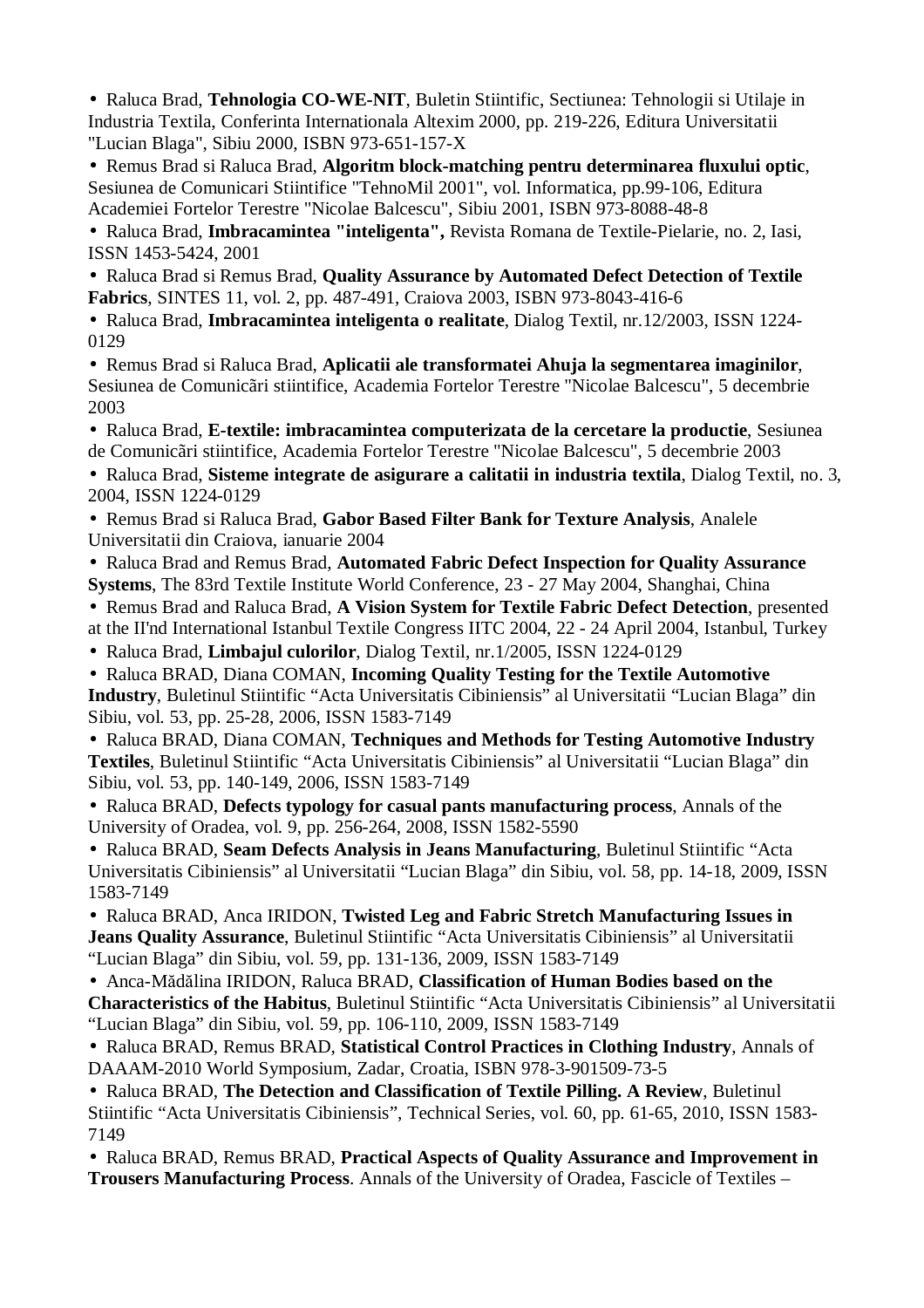• Raluca Brad, **Tehnologia CO-WE-NIT**, Buletin Stiintific, Sectiunea: Tehnologii si Utilaje in Industria Textila, Conferinta Internationala Altexim 2000, pp. 219-226, Editura Universitatii "Lucian Blaga", Sibiu 2000, ISBN 973-651-157-X

• Remus Brad si Raluca Brad, **Algoritm block-matching pentru determinarea fluxului optic**, Sesiunea de Comunicari Stiintifice "TehnoMil 2001", vol. Informatica, pp.99-106, Editura Academiei Fortelor Terestre "Nicolae Balcescu", Sibiu 2001, ISBN 973-8088-48-8

• Raluca Brad, **Imbracamintea "inteligenta",** Revista Romana de Textile-Pielarie, no. 2, Iasi, ISSN 1453-5424, 2001

• Raluca Brad si Remus Brad, **Quality Assurance by Automated Defect Detection of Textile Fabrics**, SINTES 11, vol. 2, pp. 487-491, Craiova 2003, ISBN 973-8043-416-6

• Raluca Brad, **Imbracamintea inteligenta o realitate**, Dialog Textil, nr.12/2003, ISSN 1224- 0129

• Remus Brad si Raluca Brad, **Aplicatii ale transformatei Ahuja la segmentarea imaginilor**, Sesiunea de Comunicãri stiintifice, Academia Fortelor Terestre "Nicolae Balcescu", 5 decembrie 2003

• Raluca Brad, **E-textile: imbracamintea computerizata de la cercetare la productie**, Sesiunea de Comunicãri stiintifice, Academia Fortelor Terestre "Nicolae Balcescu", 5 decembrie 2003

• Raluca Brad, **Sisteme integrate de asigurare a calitatii in industria textila**, Dialog Textil, no. 3, 2004, ISSN 1224-0129

• Remus Brad si Raluca Brad, **Gabor Based Filter Bank for Texture Analysis**, Analele Universitatii din Craiova, ianuarie 2004

• Raluca Brad and Remus Brad, **Automated Fabric Defect Inspection for Quality Assurance Systems**, The 83rd Textile Institute World Conference, 23 - 27 May 2004, Shanghai, China

• Remus Brad and Raluca Brad, **A Vision System for Textile Fabric Defect Detection**, presented at the II'nd International Istanbul Textile Congress IITC 2004, 22 - 24 April 2004, Istanbul, Turkey

• Raluca Brad, **Limbajul culorilor**, Dialog Textil, nr.1/2005, ISSN 1224-0129

• Raluca BRAD, Diana COMAN, **Incoming Quality Testing for the Textile Automotive Industry**, Buletinul Stiintific "Acta Universitatis Cibiniensis" al Universitatii "Lucian Blaga" din Sibiu, vol. 53, pp. 25-28, 2006, ISSN 1583-7149

• Raluca BRAD, Diana COMAN, **Techniques and Methods for Testing Automotive Industry Textiles**, Buletinul Stiintific "Acta Universitatis Cibiniensis" al Universitatii "Lucian Blaga" din Sibiu, vol. 53, pp. 140-149, 2006, ISSN 1583-7149

• Raluca BRAD, **Defects typology for casual pants manufacturing process**, Annals of the University of Oradea, vol. 9, pp. 256-264, 2008, ISSN 1582-5590

• Raluca BRAD, **Seam Defects Analysis in Jeans Manufacturing**, Buletinul Stiintific "Acta Universitatis Cibiniensis" al Universitatii "Lucian Blaga" din Sibiu, vol. 58, pp. 14-18, 2009, ISSN 1583-7149

• Raluca BRAD, Anca IRIDON, **Twisted Leg and Fabric Stretch Manufacturing Issues in Jeans Quality Assurance**, Buletinul Stiintific "Acta Universitatis Cibiniensis" al Universitatii "Lucian Blaga" din Sibiu, vol. 59, pp. 131-136, 2009, ISSN 1583-7149

• Anca-Mădălina IRIDON, Raluca BRAD, **Classification of Human Bodies based on the Characteristics of the Habitus**, Buletinul Stiintific "Acta Universitatis Cibiniensis" al Universitatii "Lucian Blaga" din Sibiu, vol. 59, pp. 106-110, 2009, ISSN 1583-7149

• Raluca BRAD, Remus BRAD, **Statistical Control Practices in Clothing Industry**, Annals of DAAAM-2010 World Symposium, Zadar, Croatia, ISBN 978-3-901509-73-5

• Raluca BRAD, **The Detection and Classification of Textile Pilling. A Review**, Buletinul Stiintific "Acta Universitatis Cibiniensis", Technical Series, vol. 60, pp. 61-65, 2010, ISSN 1583- 7149

• Raluca BRAD, Remus BRAD, **Practical Aspects of Quality Assurance and Improvement in Trousers Manufacturing Process**. Annals of the University of Oradea, Fascicle of Textiles –